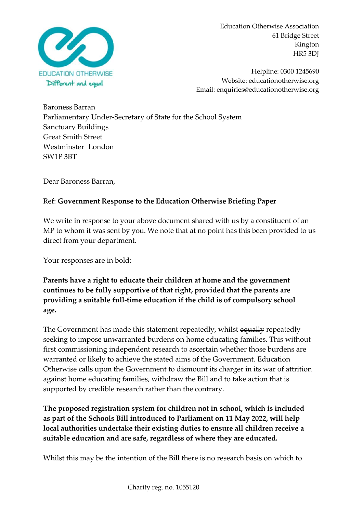

Helpline: 0300 1245690 Website: educationotherwise.org Email: enquiries@educationotherwise.org

Baroness Barran Parliamentary Under-Secretary of State for the School System Sanctuary Buildings Great Smith Street Westminster London SW1P 3BT

Dear Baroness Barran,

## Ref: **Government Response to the Education Otherwise Briefing Paper**

We write in response to your above document shared with us by a constituent of an MP to whom it was sent by you. We note that at no point has this been provided to us direct from your department.

Your responses are in bold:

**Parents have a right to educate their children at home and the government continues to be fully supportive of that right, provided that the parents are providing a suitable full-time education if the child is of compulsory school age.**

The Government has made this statement repeatedly, whilst equally repeatedly seeking to impose unwarranted burdens on home educating families. This without first commissioning independent research to ascertain whether those burdens are warranted or likely to achieve the stated aims of the Government. Education Otherwise calls upon the Government to dismount its charger in its war of attrition against home educating families, withdraw the Bill and to take action that is supported by credible research rather than the contrary.

**The proposed registration system for children not in school, which is included as part of the Schools Bill introduced to Parliament on 11 May 2022, will help local authorities undertake their existing duties to ensure all children receive a suitable education and are safe, regardless of where they are educated.**

Whilst this may be the intention of the Bill there is no research basis on which to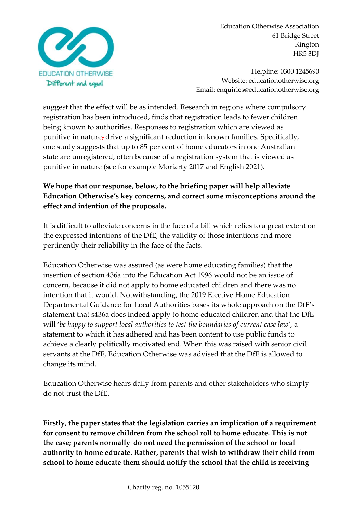

Helpline: 0300 1245690 Website: educationotherwise.org Email: enquiries@educationotherwise.org

suggest that the effect will be as intended. Research in regions where compulsory registration has been introduced, finds that registration leads to fewer children being known to authorities. Responses to registration which are viewed as punitive in nature, drive a significant reduction in known families. Specifically, one study suggests that up to 85 per cent of home educators in one Australian state are unregistered, often because of a registration system that is viewed as punitive in nature (see for example Moriarty 2017 and English 2021).

# **We hope that our response, below, to the briefing paper will help alleviate Education Otherwise's key concerns, and correct some misconceptions around the effect and intention of the proposals.**

It is difficult to alleviate concerns in the face of a bill which relies to a great extent on the expressed intentions of the DfE, the validity of those intentions and more pertinently their reliability in the face of the facts.

Education Otherwise was assured (as were home educating families) that the insertion of section 436a into the Education Act 1996 would not be an issue of concern, because it did not apply to home educated children and there was no intention that it would. Notwithstanding, the 2019 Elective Home Education Departmental Guidance for Local Authorities bases its whole approach on the DfE's statement that s436a does indeed apply to home educated children and that the DfE will '*be happy to support local authorities to test the boundaries of current case law'*, a statement to which it has adhered and has been content to use public funds to achieve a clearly politically motivated end. When this was raised with senior civil servants at the DfE, Education Otherwise was advised that the DfE is allowed to change its mind.

Education Otherwise hears daily from parents and other stakeholders who simply do not trust the DfE.

**Firstly, the paper states that the legislation carries an implication of a requirement for consent to remove children from the school roll to home educate. This is not the case; parents normally do not need the permission of the school or local authority to home educate. Rather, parents that wish to withdraw their child from school to home educate them should notify the school that the child is receiving**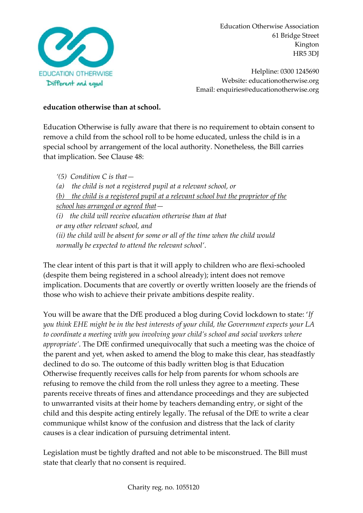

Helpline: 0300 1245690 Website: educationotherwise.org Email: enquiries@educationotherwise.org

#### **education otherwise than at school.**

Education Otherwise is fully aware that there is no requirement to obtain consent to remove a child from the school roll to be home educated, unless the child is in a special school by arrangement of the local authority. Nonetheless, the Bill carries that implication. See Clause 48:

*'(5) Condition C is that— (a) the child is not a registered pupil at a relevant school, or (b) the child is a registered pupil at a relevant school but the proprietor of the school has arranged or agreed that— (i) the child will receive education otherwise than at that or any other relevant school, and (ii) the child will be absent for some or all of the time when the child would normally be expected to attend the relevant school'*.

The clear intent of this part is that it will apply to children who are flexi-schooled (despite them being registered in a school already); intent does not remove implication. Documents that are covertly or overtly written loosely are the friends of those who wish to achieve their private ambitions despite reality.

You will be aware that the DfE produced a blog during Covid lockdown to state: '*If you think EHE might be in the best interests of your child, the Government expects your LA to coordinate a meeting with you involving your child's school and social workers where appropriate'*. The DfE confirmed unequivocally that such a meeting was the choice of the parent and yet, when asked to amend the blog to make this clear, has steadfastly declined to do so. The outcome of this badly written blog is that Education Otherwise frequently receives calls for help from parents for whom schools are refusing to remove the child from the roll unless they agree to a meeting. These parents receive threats of fines and attendance proceedings and they are subjected to unwarranted visits at their home by teachers demanding entry, or sight of the child and this despite acting entirely legally. The refusal of the DfE to write a clear communique whilst know of the confusion and distress that the lack of clarity causes is a clear indication of pursuing detrimental intent.

Legislation must be tightly drafted and not able to be misconstrued. The Bill must state that clearly that no consent is required.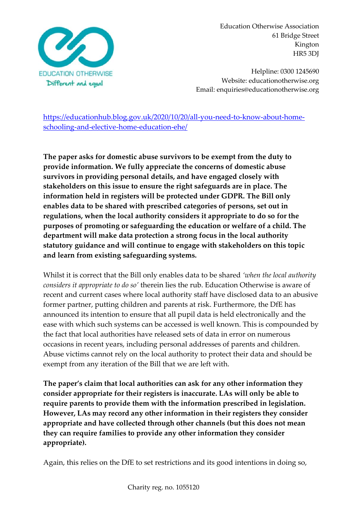

Helpline: 0300 1245690 Website: educationotherwise.org Email: enquiries@educationotherwise.org

[https://educationhub.blog.gov.uk/2020/10/20/all-you-need-to-know-about-home](https://educationhub.blog.gov.uk/2020/10/20/all-you-need-to-know-about-home-schooling-and-elective-home-education-ehe/)[schooling-and-elective-home-education-ehe/](https://educationhub.blog.gov.uk/2020/10/20/all-you-need-to-know-about-home-schooling-and-elective-home-education-ehe/)

**The paper asks for domestic abuse survivors to be exempt from the duty to provide information. We fully appreciate the concerns of domestic abuse survivors in providing personal details, and have engaged closely with stakeholders on this issue to ensure the right safeguards are in place. The information held in registers will be protected under GDPR. The Bill only enables data to be shared with prescribed categories of persons, set out in regulations, when the local authority considers it appropriate to do so for the purposes of promoting or safeguarding the education or welfare of a child. The department will make data protection a strong focus in the local authority statutory guidance and will continue to engage with stakeholders on this topic and learn from existing safeguarding systems.**

Whilst it is correct that the Bill only enables data to be shared *'when the local authority considers it appropriate to do so'* therein lies the rub. Education Otherwise is aware of recent and current cases where local authority staff have disclosed data to an abusive former partner, putting children and parents at risk. Furthermore, the DfE has announced its intention to ensure that all pupil data is held electronically and the ease with which such systems can be accessed is well known. This is compounded by the fact that local authorities have released sets of data in error on numerous occasions in recent years, including personal addresses of parents and children. Abuse victims cannot rely on the local authority to protect their data and should be exempt from any iteration of the Bill that we are left with.

**The paper's claim that local authorities can ask for any other information they consider appropriate for their registers is inaccurate. LAs will only be able to require parents to provide them with the information prescribed in legislation. However, LAs may record any other information in their registers they consider appropriate and have collected through other channels (but this does not mean they can require families to provide any other information they consider appropriate).**

Again, this relies on the DfE to set restrictions and its good intentions in doing so,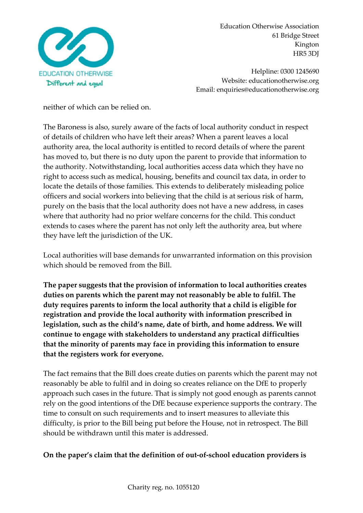

Helpline: 0300 1245690 Website: educationotherwise.org Email: enquiries@educationotherwise.org

neither of which can be relied on.

The Baroness is also, surely aware of the facts of local authority conduct in respect of details of children who have left their areas? When a parent leaves a local authority area, the local authority is entitled to record details of where the parent has moved to, but there is no duty upon the parent to provide that information to the authority. Notwithstanding, local authorities access data which they have no right to access such as medical, housing, benefits and council tax data, in order to locate the details of those families. This extends to deliberately misleading police officers and social workers into believing that the child is at serious risk of harm, purely on the basis that the local authority does not have a new address, in cases where that authority had no prior welfare concerns for the child. This conduct extends to cases where the parent has not only left the authority area, but where they have left the jurisdiction of the UK.

Local authorities will base demands for unwarranted information on this provision which should be removed from the Bill.

**The paper suggests that the provision of information to local authorities creates duties on parents which the parent may not reasonably be able to fulfil. The duty requires parents to inform the local authority that a child is eligible for registration and provide the local authority with information prescribed in legislation, such as the child's name, date of birth, and home address. We will continue to engage with stakeholders to understand any practical difficulties that the minority of parents may face in providing this information to ensure that the registers work for everyone.**

The fact remains that the Bill does create duties on parents which the parent may not reasonably be able to fulfil and in doing so creates reliance on the DfE to properly approach such cases in the future. That is simply not good enough as parents cannot rely on the good intentions of the DfE because experience supports the contrary. The time to consult on such requirements and to insert measures to alleviate this difficulty, is prior to the Bill being put before the House, not in retrospect. The Bill should be withdrawn until this mater is addressed.

## **On the paper's claim that the definition of out-of-school education providers is**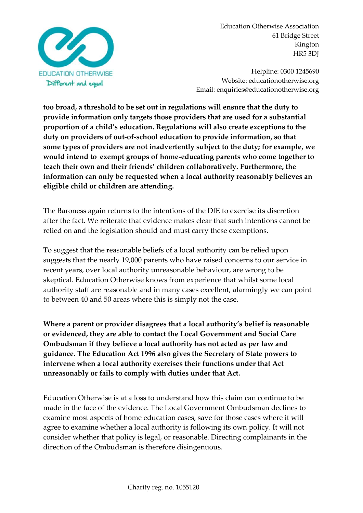

Helpline: 0300 1245690 Website: educationotherwise.org Email: enquiries@educationotherwise.org

**too broad, a threshold to be set out in regulations will ensure that the duty to provide information only targets those providers that are used for a substantial proportion of a child's education. Regulations will also create exceptions to the duty on providers of out-of-school education to provide information, so that some types of providers are not inadvertently subject to the duty; for example, we would intend to exempt groups of home-educating parents who come together to teach their own and their friends' children collaboratively. Furthermore, the information can only be requested when a local authority reasonably believes an eligible child or children are attending.** 

The Baroness again returns to the intentions of the DfE to exercise its discretion after the fact. We reiterate that evidence makes clear that such intentions cannot be relied on and the legislation should and must carry these exemptions.

To suggest that the reasonable beliefs of a local authority can be relied upon suggests that the nearly 19,000 parents who have raised concerns to our service in recent years, over local authority unreasonable behaviour, are wrong to be skeptical. Education Otherwise knows from experience that whilst some local authority staff are reasonable and in many cases excellent, alarmingly we can point to between 40 and 50 areas where this is simply not the case.

**Where a parent or provider disagrees that a local authority's belief is reasonable or evidenced, they are able to contact the Local Government and Social Care Ombudsman if they believe a local authority has not acted as per law and guidance. The Education Act 1996 also gives the Secretary of State powers to intervene when a local authority exercises their functions under that Act unreasonably or fails to comply with duties under that Act.**

Education Otherwise is at a loss to understand how this claim can continue to be made in the face of the evidence. The Local Government Ombudsman declines to examine most aspects of home education cases, save for those cases where it will agree to examine whether a local authority is following its own policy. It will not consider whether that policy is legal, or reasonable. Directing complainants in the direction of the Ombudsman is therefore disingenuous.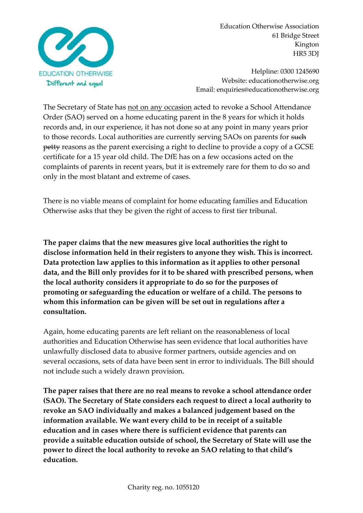

Helpline: 0300 1245690 Website: educationotherwise.org Email: enquiries@educationotherwise.org

The Secretary of State has not on any occasion acted to revoke a School Attendance Order (SAO) served on a home educating parent in the 8 years for which it holds records and, in our experience, it has not done so at any point in many years prior to those records. Local authorities are currently serving SAOs on parents for such petty reasons as the parent exercising a right to decline to provide a copy of a GCSE certificate for a 15 year old child. The DfE has on a few occasions acted on the complaints of parents in recent years, but it is extremely rare for them to do so and only in the most blatant and extreme of cases.

There is no viable means of complaint for home educating families and Education Otherwise asks that they be given the right of access to first tier tribunal.

**The paper claims that the new measures give local authorities the right to disclose information held in their registers to anyone they wish. This is incorrect. Data protection law applies to this information as it applies to other personal data, and the Bill only provides for it to be shared with prescribed persons, when the local authority considers it appropriate to do so for the purposes of promoting or safeguarding the education or welfare of a child. The persons to whom this information can be given will be set out in regulations after a consultation.**

Again, home educating parents are left reliant on the reasonableness of local authorities and Education Otherwise has seen evidence that local authorities have unlawfully disclosed data to abusive former partners, outside agencies and on several occasions, sets of data have been sent in error to individuals. The Bill should not include such a widely drawn provision.

**The paper raises that there are no real means to revoke a school attendance order (SAO). The Secretary of State considers each request to direct a local authority to revoke an SAO individually and makes a balanced judgement based on the information available. We want every child to be in receipt of a suitable education and in cases where there is sufficient evidence that parents can provide a suitable education outside of school, the Secretary of State will use the power to direct the local authority to revoke an SAO relating to that child's education.**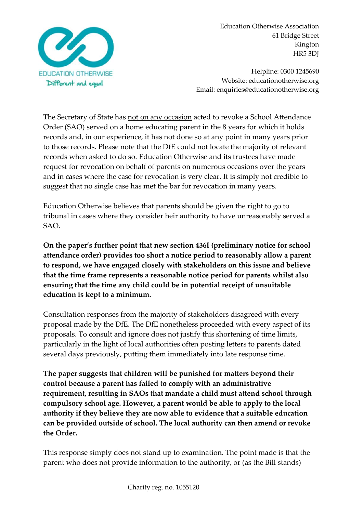

Helpline: 0300 1245690 Website: educationotherwise.org Email: enquiries@educationotherwise.org

The Secretary of State has not on any occasion acted to revoke a School Attendance Order (SAO) served on a home educating parent in the 8 years for which it holds records and, in our experience, it has not done so at any point in many years prior to those records. Please note that the DfE could not locate the majority of relevant records when asked to do so. Education Otherwise and its trustees have made request for revocation on behalf of parents on numerous occasions over the years and in cases where the case for revocation is very clear. It is simply not credible to suggest that no single case has met the bar for revocation in many years.

Education Otherwise believes that parents should be given the right to go to tribunal in cases where they consider heir authority to have unreasonably served a SAO.

**On the paper's further point that new section 436I (preliminary notice for school attendance order) provides too short a notice period to reasonably allow a parent to respond, we have engaged closely with stakeholders on this issue and believe that the time frame represents a reasonable notice period for parents whilst also ensuring that the time any child could be in potential receipt of unsuitable education is kept to a minimum.**

Consultation responses from the majority of stakeholders disagreed with every proposal made by the DfE. The DfE nonetheless proceeded with every aspect of its proposals. To consult and ignore does not justify this shortening of time limits, particularly in the light of local authorities often posting letters to parents dated several days previously, putting them immediately into late response time.

**The paper suggests that children will be punished for matters beyond their control because a parent has failed to comply with an administrative requirement, resulting in SAOs that mandate a child must attend school through compulsory school age. However, a parent would be able to apply to the local authority if they believe they are now able to evidence that a suitable education can be provided outside of school. The local authority can then amend or revoke the Order.**

This response simply does not stand up to examination. The point made is that the parent who does not provide information to the authority, or (as the Bill stands)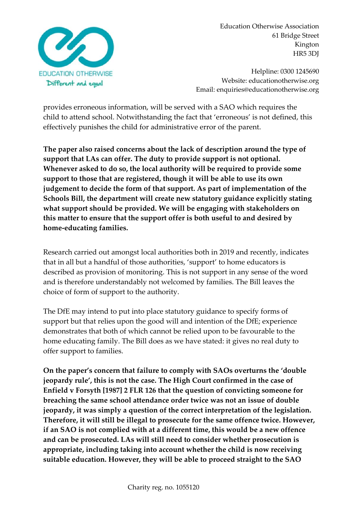

Helpline: 0300 1245690 Website: educationotherwise.org Email: enquiries@educationotherwise.org

provides erroneous information, will be served with a SAO which requires the child to attend school. Notwithstanding the fact that 'erroneous' is not defined, this effectively punishes the child for administrative error of the parent.

**The paper also raised concerns about the lack of description around the type of support that LAs can offer. The duty to provide support is not optional. Whenever asked to do so, the local authority will be required to provide some support to those that are registered, though it will be able to use its own judgement to decide the form of that support. As part of implementation of the Schools Bill, the department will create new statutory guidance explicitly stating what support should be provided. We will be engaging with stakeholders on this matter to ensure that the support offer is both useful to and desired by home-educating families.**

Research carried out amongst local authorities both in 2019 and recently, indicates that in all but a handful of those authorities, 'support' to home educators is described as provision of monitoring. This is not support in any sense of the word and is therefore understandably not welcomed by families. The Bill leaves the choice of form of support to the authority.

The DfE may intend to put into place statutory guidance to specify forms of support but that relies upon the good will and intention of the DfE; experience demonstrates that both of which cannot be relied upon to be favourable to the home educating family. The Bill does as we have stated: it gives no real duty to offer support to families.

**On the paper's concern that failure to comply with SAOs overturns the 'double jeopardy rule', this is not the case. The High Court confirmed in the case of Enfield v Forsyth [1987] 2 FLR 126 that the question of convicting someone for breaching the same school attendance order twice was not an issue of double jeopardy, it was simply a question of the correct interpretation of the legislation. Therefore, it will still be illegal to prosecute for the same offence twice. However, if an SAO is not complied with at a different time, this would be a new offence and can be prosecuted. LAs will still need to consider whether prosecution is appropriate, including taking into account whether the child is now receiving suitable education. However, they will be able to proceed straight to the SAO**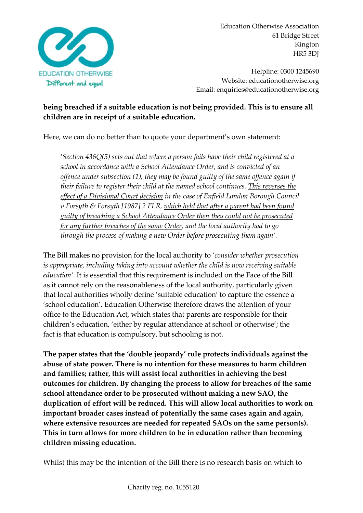

Helpline: 0300 1245690 Website: educationotherwise.org Email: enquiries@educationotherwise.org

# **being breached if a suitable education is not being provided. This is to ensure all children are in receipt of a suitable education.**

Here, we can do no better than to quote your department's own statement:

'*Section 436Q(5) sets out that where a person fails have their child registered at a school in accordance with a School Attendance Order, and is convicted of an offence under subsection (1), they may be found guilty of the same offence again if their failure to register their child at the named school continues. This reverses the effect of a Divisional Court decision in the case of Enfield London Borough Council v Forsyth & Forsyth [1987] 2 FLR, which held that after a parent had been found guilty of breaching a School Attendance Order then they could not be prosecuted for any further breaches of the same Order, and the local authority had to go through the process of making a new Order before prosecuting them again'.*

The Bill makes no provision for the local authority to '*consider whether prosecution is appropriate, including taking into account whether the child is now receiving suitable education'*. It is essential that this requirement is included on the Face of the Bill as it cannot rely on the reasonableness of the local authority, particularly given that local authorities wholly define 'suitable education' to capture the essence a 'school education'. Education Otherwise therefore draws the attention of your office to the Education Act, which states that parents are responsible for their children's education, 'either by regular attendance at school or otherwise'; the fact is that education is compulsory, but schooling is not.

**The paper states that the 'double jeopardy' rule protects individuals against the abuse of state power. There is no intention for these measures to harm children and families; rather, this will assist local authorities in achieving the best outcomes for children. By changing the process to allow for breaches of the same school attendance order to be prosecuted without making a new SAO, the duplication of effort will be reduced. This will allow local authorities to work on important broader cases instead of potentially the same cases again and again, where extensive resources are needed for repeated SAOs on the same person(s). This in turn allows for more children to be in education rather than becoming children missing education.**

Whilst this may be the intention of the Bill there is no research basis on which to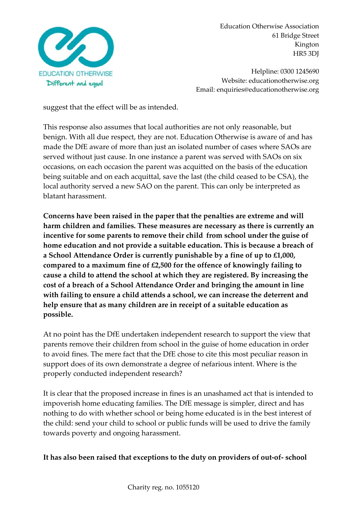

Helpline: 0300 1245690 Website: educationotherwise.org Email: enquiries@educationotherwise.org

suggest that the effect will be as intended.

This response also assumes that local authorities are not only reasonable, but benign. With all due respect, they are not. Education Otherwise is aware of and has made the DfE aware of more than just an isolated number of cases where SAOs are served without just cause. In one instance a parent was served with SAOs on six occasions, on each occasion the parent was acquitted on the basis of the education being suitable and on each acquittal, save the last (the child ceased to be CSA), the local authority served a new SAO on the parent. This can only be interpreted as blatant harassment.

**Concerns have been raised in the paper that the penalties are extreme and will harm children and families. These measures are necessary as there is currently an incentive for some parents to remove their child from school under the guise of home education and not provide a suitable education. This is because a breach of a School Attendance Order is currently punishable by a fine of up to £1,000, compared to a maximum fine of £2,500 for the offence of knowingly failing to cause a child to attend the school at which they are registered. By increasing the cost of a breach of a School Attendance Order and bringing the amount in line with failing to ensure a child attends a school, we can increase the deterrent and help ensure that as many children are in receipt of a suitable education as possible.**

At no point has the DfE undertaken independent research to support the view that parents remove their children from school in the guise of home education in order to avoid fines. The mere fact that the DfE chose to cite this most peculiar reason in support does of its own demonstrate a degree of nefarious intent. Where is the properly conducted independent research?

It is clear that the proposed increase in fines is an unashamed act that is intended to impoverish home educating families. The DfE message is simpler, direct and has nothing to do with whether school or being home educated is in the best interest of the child: send your child to school or public funds will be used to drive the family towards poverty and ongoing harassment.

### **It has also been raised that exceptions to the duty on providers of out-of- school**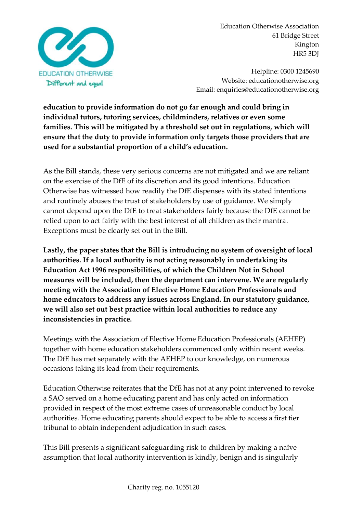

Helpline: 0300 1245690 Website: educationotherwise.org Email: enquiries@educationotherwise.org

**education to provide information do not go far enough and could bring in individual tutors, tutoring services, childminders, relatives or even some families. This will be mitigated by a threshold set out in regulations, which will ensure that the duty to provide information only targets those providers that are used for a substantial proportion of a child's education.**

As the Bill stands, these very serious concerns are not mitigated and we are reliant on the exercise of the DfE of its discretion and its good intentions. Education Otherwise has witnessed how readily the DfE dispenses with its stated intentions and routinely abuses the trust of stakeholders by use of guidance. We simply cannot depend upon the DfE to treat stakeholders fairly because the DfE cannot be relied upon to act fairly with the best interest of all children as their mantra. Exceptions must be clearly set out in the Bill.

**Lastly, the paper states that the Bill is introducing no system of oversight of local authorities. If a local authority is not acting reasonably in undertaking its Education Act 1996 responsibilities, of which the Children Not in School measures will be included, then the department can intervene. We are regularly meeting with the Association of Elective Home Education Professionals and home educators to address any issues across England. In our statutory guidance, we will also set out best practice within local authorities to reduce any inconsistencies in practice.**

Meetings with the Association of Elective Home Education Professionals (AEHEP) together with home education stakeholders commenced only within recent weeks. The DfE has met separately with the AEHEP to our knowledge, on numerous occasions taking its lead from their requirements.

Education Otherwise reiterates that the DfE has not at any point intervened to revoke a SAO served on a home educating parent and has only acted on information provided in respect of the most extreme cases of unreasonable conduct by local authorities. Home educating parents should expect to be able to access a first tier tribunal to obtain independent adjudication in such cases.

This Bill presents a significant safeguarding risk to children by making a naïve assumption that local authority intervention is kindly, benign and is singularly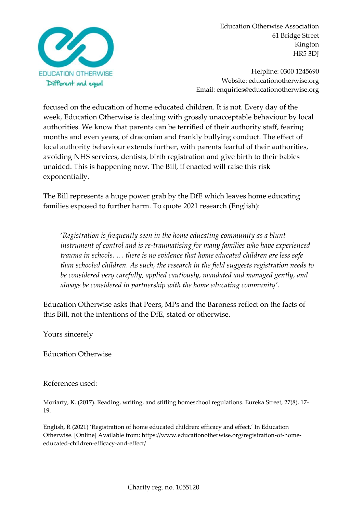

Helpline: 0300 1245690 Website: educationotherwise.org Email: enquiries@educationotherwise.org

focused on the education of home educated children. It is not. Every day of the week, Education Otherwise is dealing with grossly unacceptable behaviour by local authorities. We know that parents can be terrified of their authority staff, fearing months and even years, of draconian and frankly bullying conduct. The effect of local authority behaviour extends further, with parents fearful of their authorities, avoiding NHS services, dentists, birth registration and give birth to their babies unaided. This is happening now. The Bill, if enacted will raise this risk exponentially.

The Bill represents a huge power grab by the DfE which leaves home educating families exposed to further harm. To quote 2021 research (English):

'*Registration is frequently seen in the home educating community as a blunt instrument of control and is re-traumatising for many families who have experienced trauma in schools. … there is no evidence that home educated children are less safe than schooled children. As such, the research in the field suggests registration needs to be considered very carefully, applied cautiously, mandated and managed gently, and always be considered in partnership with the home educating community'*.

Education Otherwise asks that Peers, MPs and the Baroness reflect on the facts of this Bill, not the intentions of the DfE, stated or otherwise.

Yours sincerely

Education Otherwise

#### References used:

Moriarty, K. (2017). Reading, writing, and stifling homeschool regulations. Eureka Street, 27(8), 17- 19.

English, R (2021) 'Registration of home educated children: efficacy and effect.' In Education Otherwise. [Online] Available from: https://www.educationotherwise.org/registration-of-homeeducated-children-efficacy-and-effect/